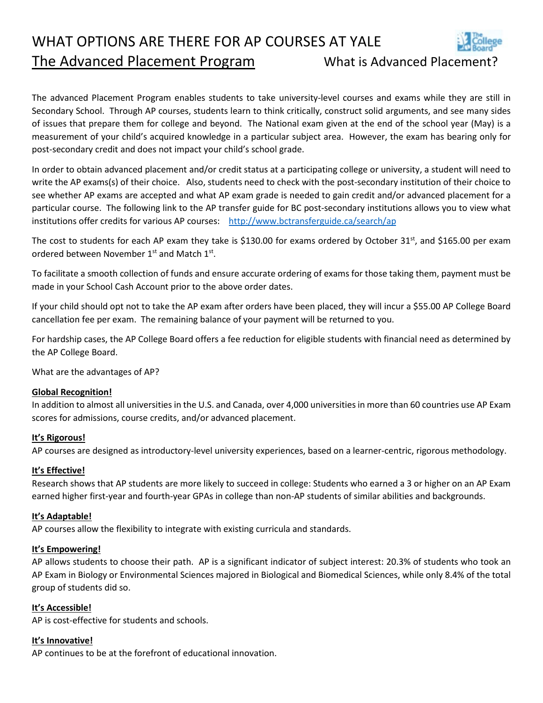WHAT OPTIONS ARE THERE FOR AP COURSES AT YALE The Advanced Placement Program What is Advanced Placement?



The advanced Placement Program enables students to take university-level courses and exams while they are still in Secondary School. Through AP courses, students learn to think critically, construct solid arguments, and see many sides of issues that prepare them for college and beyond. The National exam given at the end of the school year (May) is a measurement of your child's acquired knowledge in a particular subject area. However, the exam has bearing only for post-secondary credit and does not impact your child's school grade.

In order to obtain advanced placement and/or credit status at a participating college or university, a student will need to write the AP exams(s) of their choice. Also, students need to check with the post-secondary institution of their choice to see whether AP exams are accepted and what AP exam grade is needed to gain credit and/or advanced placement for a particular course. The following link to the AP transfer guide for BC post-secondary institutions allows you to view what institutions offer credits for various AP courses: <http://www.bctransferguide.ca/search/ap>

The cost to students for each AP exam they take is \$130.00 for exams ordered by October 31<sup>st</sup>, and \$165.00 per exam ordered between November 1<sup>st</sup> and Match 1<sup>st</sup>.

To facilitate a smooth collection of funds and ensure accurate ordering of exams for those taking them, payment must be made in your School Cash Account prior to the above order dates.

If your child should opt not to take the AP exam after orders have been placed, they will incur a \$55.00 AP College Board cancellation fee per exam. The remaining balance of your payment will be returned to you.

For hardship cases, the AP College Board offers a fee reduction for eligible students with financial need as determined by the AP College Board.

What are the advantages of AP?

# **Global Recognition!**

In addition to almost all universities in the U.S. and Canada, over 4,000 universities in more than 60 countries use AP Exam scores for admissions, course credits, and/or advanced placement.

# **It's Rigorous!**

AP courses are designed as introductory-level university experiences, based on a learner-centric, rigorous methodology.

# **It's Effective!**

Research shows that AP students are more likely to succeed in college: Students who earned a 3 or higher on an AP Exam earned higher first-year and fourth-year GPAs in college than non-AP students of similar abilities and backgrounds.

### **It's Adaptable!**

AP courses allow the flexibility to integrate with existing curricula and standards.

### **It's Empowering!**

AP allows students to choose their path. AP is a significant indicator of subject interest: 20.3% of students who took an AP Exam in Biology or Environmental Sciences majored in Biological and Biomedical Sciences, while only 8.4% of the total group of students did so.

# **It's Accessible!**

AP is cost-effective for students and schools.

### **It's Innovative!**

AP continues to be at the forefront of educational innovation.